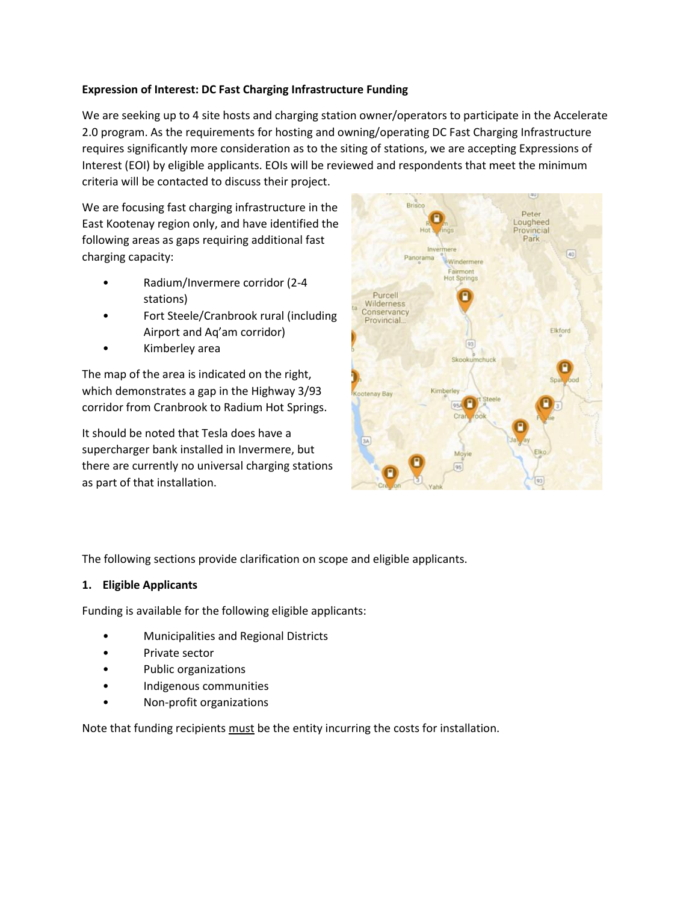### **Expression of Interest: DC Fast Charging Infrastructure Funding**

We are seeking up to 4 site hosts and charging station owner/operators to participate in the Accelerate 2.0 program. As the requirements for hosting and owning/operating DC Fast Charging Infrastructure requires significantly more consideration as to the siting of stations, we are accepting Expressions of Interest (EOI) by eligible applicants. EOIs will be reviewed and respondents that meet the minimum criteria will be contacted to discuss their project.

We are focusing fast charging infrastructure in the East Kootenay region only, and have identified the following areas as gaps requiring additional fast charging capacity:

- Radium/Invermere corridor (2-4 stations)
- Fort Steele/Cranbrook rural (including Airport and Aq'am corridor)
- Kimberley area

The map of the area is indicated on the right, which demonstrates a gap in the Highway 3/93 corridor from Cranbrook to Radium Hot Springs.

It should be noted that Tesla does have a supercharger bank installed in Invermere, but there are currently no universal charging stations as part of that installation.



The following sections provide clarification on scope and eligible applicants.

#### **1. Eligible Applicants**

Funding is available for the following eligible applicants:

- Municipalities and Regional Districts
- Private sector
- Public organizations
- Indigenous communities
- Non-profit organizations

Note that funding recipients must be the entity incurring the costs for installation.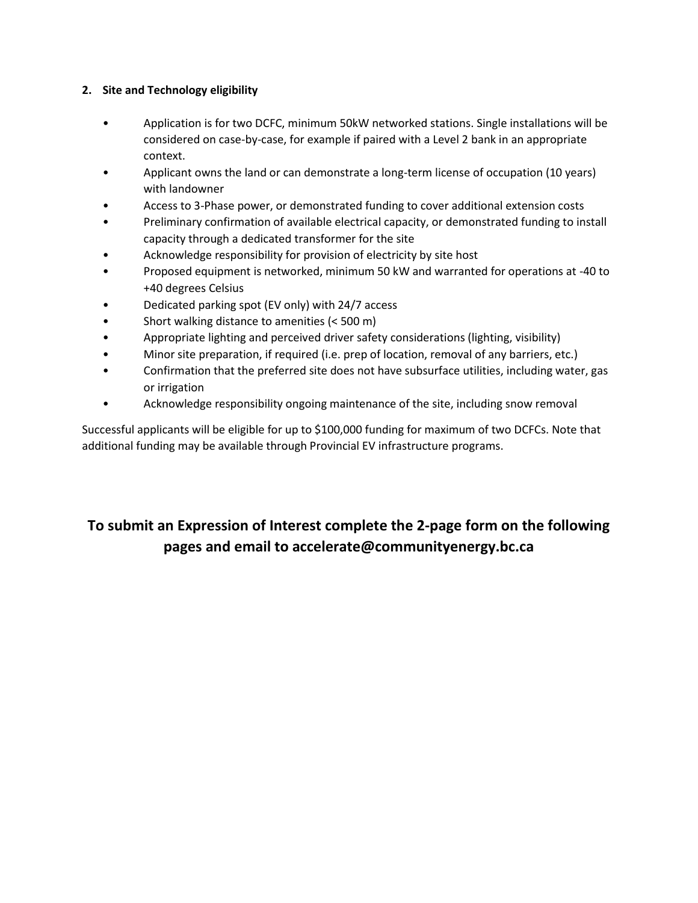## **2. Site and Technology eligibility**

- Application is for two DCFC, minimum 50kW networked stations. Single installations will be considered on case-by-case, for example if paired with a Level 2 bank in an appropriate context.
- Applicant owns the land or can demonstrate a long-term license of occupation (10 years) with landowner
- Access to 3-Phase power, or demonstrated funding to cover additional extension costs
- Preliminary confirmation of available electrical capacity, or demonstrated funding to install capacity through a dedicated transformer for the site
- Acknowledge responsibility for provision of electricity by site host
- Proposed equipment is networked, minimum 50 kW and warranted for operations at -40 to +40 degrees Celsius
- Dedicated parking spot (EV only) with 24/7 access
- Short walking distance to amenities (< 500 m)
- Appropriate lighting and perceived driver safety considerations (lighting, visibility)
- Minor site preparation, if required (i.e. prep of location, removal of any barriers, etc.)
- Confirmation that the preferred site does not have subsurface utilities, including water, gas or irrigation
- Acknowledge responsibility ongoing maintenance of the site, including snow removal

Successful applicants will be eligible for up to \$100,000 funding for maximum of two DCFCs. Note that additional funding may be available through Provincial EV infrastructure programs.

# **To submit an Expression of Interest complete the 2-page form on the following pages and email to accelerate@communityenergy.bc.ca**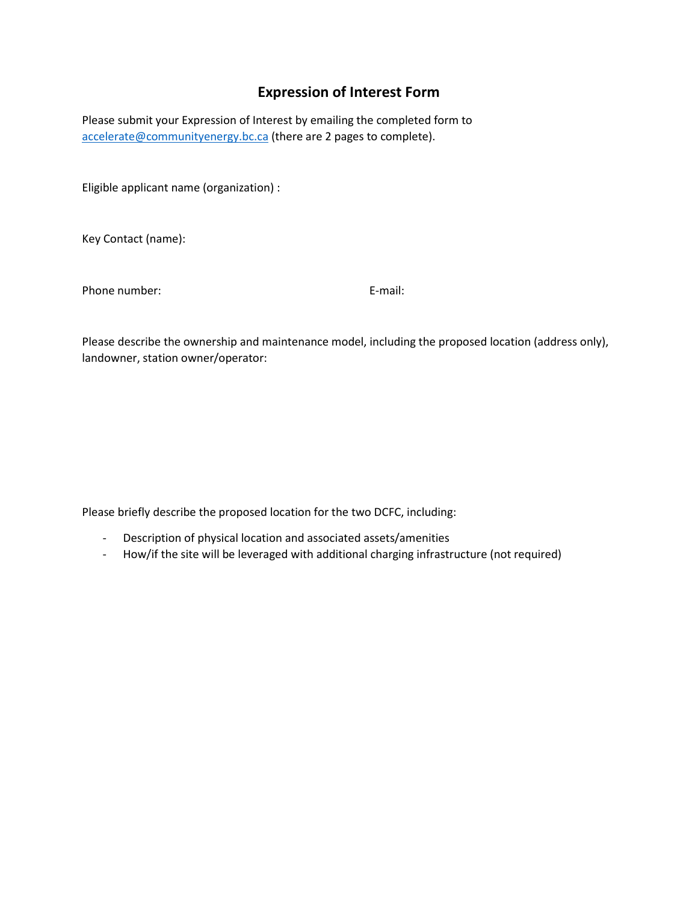# **Expression of Interest Form**

Please submit your Expression of Interest by emailing the completed form to [accelerate@communityenergy.bc.ca](mailto:accelerate@communityenergy.bc.ca) (there are 2 pages to complete).

Eligible applicant name (organization) :

Key Contact (name):

Phone number: E-mail:

Please describe the ownership and maintenance model, including the proposed location (address only), landowner, station owner/operator:

Please briefly describe the proposed location for the two DCFC, including:

- Description of physical location and associated assets/amenities
- How/if the site will be leveraged with additional charging infrastructure (not required)